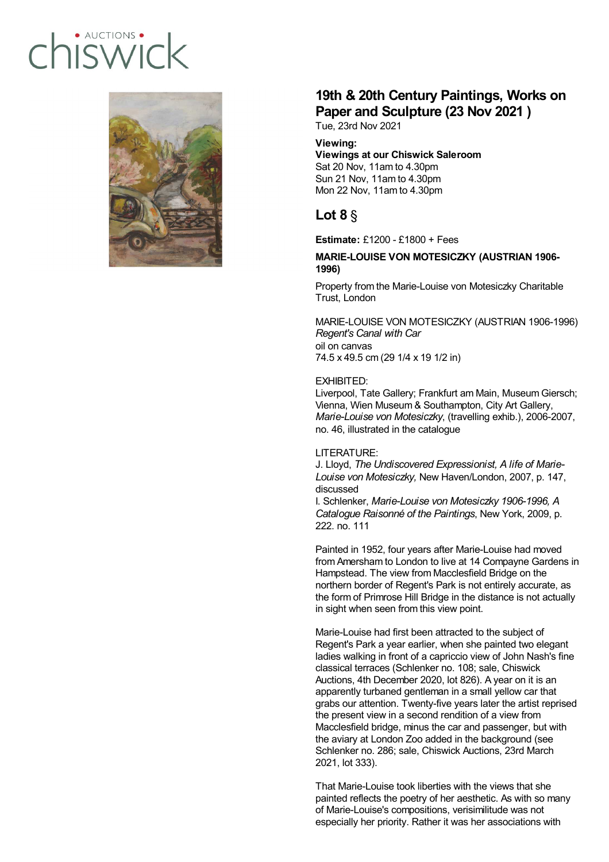# · AUCTIONS hiswic



# **19th & 20th Century Paintings, Works on Paper and Sculpture (23 Nov 2021 )**

Tue, 23rd Nov 2021

# **Viewing:**

#### **Viewings at our Chiswick Saleroom** Sat 20 Nov, 11am to 4.30pm Sun 21 Nov, 11am to 4.30pm Mon 22 Nov, 11am to 4.30pm

# **Lot 8** §

**Estimate:** £1200 - £1800 + Fees

## **MARIE-LOUISE VON MOTESICZKY (AUSTRIAN 1906- 1996)**

Property from the Marie-Louise von Motesiczky Charitable Trust, London

MARIE-LOUISE VON MOTESICZKY (AUSTRIAN 1906-1996) *Regent's Canal with Car* oil on canvas 74.5 x 49.5 cm (29 1/4 x 19 1/2 in)

# EXHIBITED:

Liverpool, Tate Gallery; Frankfurt am Main, Museum Giersch; Vienna, Wien Museum & Southampton, City Art Gallery, *Marie-Louise von Motesiczky*, (travelling exhib.), 2006-2007, no. 46, illustrated in the catalogue

#### LITERATURE:

J. Lloyd, *The Undiscovered Expressionist, A life of Marie-Louise von Motesiczky,* New Haven/London, 2007, p. 147, discussed

I. Schlenker, *Marie-Louise von Motesiczky 1906-1996, A Catalogue Raisonné of the Paintings*, New York, 2009, p. 222. no. 111

Painted in 1952, four years after Marie-Louise had moved from Amersham to London to live at 14 Compayne Gardens in Hampstead. The view from Macclesfield Bridge on the northern border of Regent's Park is not entirely accurate, as the form of Primrose Hill Bridge in the distance is not actually in sight when seen from this view point.

Marie-Louise had first been attracted to the subject of Regent's Park a year earlier, when she painted two elegant ladies walking in front of a capriccio view of John Nash's fine classical terraces (Schlenker no. 108; sale, Chiswick Auctions, 4th December 2020, lot 826). A year on it is an apparently turbaned gentleman in a small yellow car that grabs our attention. Twenty-five years later the artist reprised the present view in a second rendition of a view from Macclesfield bridge, minus the car and passenger, but with the aviary at London Zoo added in the background (see Schlenker no. 286; sale, Chiswick Auctions, 23rd March 2021, lot 333).

That Marie-Louise took liberties with the views that she painted reflects the poetry of her aesthetic. As with so many of Marie-Louise's compositions, verisimilitude was not especially her priority. Rather it was her associations with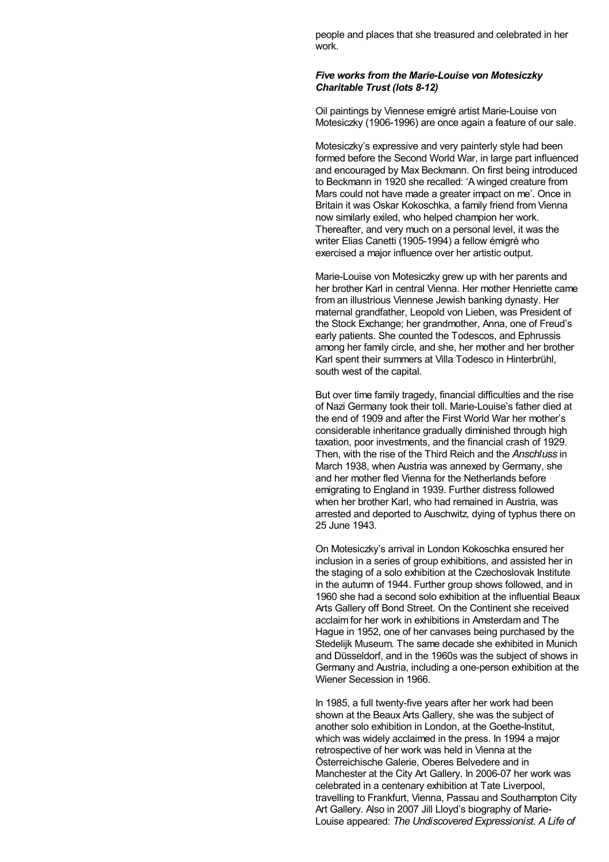people and places that she treasured and celebrated in her work.

#### *Five works from the Marie-Louise von Motesiczky Charitable Trust (lots 8-12)*

Oil paintings by Viennese emigré artist Marie-Louise von Motesiczky (1906-1996) are once again a feature of our sale.

Motesiczky's expressive and very painterly style had been formed before the Second World War, in large part influenced and encouraged by Max Beckmann. On first being introduced to Beckmann in 1920 she recalled: 'A winged creature from Mars could not have made a greater impact on me'. Once in Britain it was Oskar Kokoschka, a family friend from Vienna now similarly exiled, who helped champion her work. Thereafter, and very much on a personal level, it was the writer Elias Canetti (1905-1994) a fellow émigré who exercised a major influence over her artistic output.

Marie-Louise von Motesiczky grew up with her parents and her brother Karl in central Vienna. Her mother Henriette came from an illustrious Viennese Jewish banking dynasty. Her maternal grandfather, Leopold von Lieben, was President of the Stock Exchange; her grandmother, Anna, one of Freud's early patients. She counted the Todescos, and Ephrussis among her family circle, and she, her mother and her brother Karl spent their summers at Villa Todesco in Hinterbrühl, south west of the capital.

But over time family tragedy, financial difficulties and the rise of Nazi Germany took their toll. Marie-Louise's father died at the end of 1909 and after the First World War her mother's considerable inheritance gradually diminished through high taxation, poor investments, and the financial crash of 1929. Then, with the rise of the Third Reich and the *Anschluss* in March 1938, when Austria was annexed by Germany, she and her mother fled Vienna for the Netherlands before emigrating to England in 1939. Further distress followed when her brother Karl, who had remained in Austria, was arrested and deported to Auschwitz, dying of typhus there on 25 June 1943.

On Motesiczky's arrival in London Kokoschka ensured her inclusion in a series of group exhibitions, and assisted her in the staging of a solo exhibition at the Czechoslovak Institute in the autumn of 1944. Further group shows followed, and in 1960 she had a second solo exhibition at the influential Beaux Arts Gallery off Bond Street. On the Continent she received acclaim for her work in exhibitions in Amsterdam and The Hague in 1952, one of her canvases being purchased by the Stedelijk Museum. The same decade she exhibited in Munich and Düsseldorf, and in the 1960s was the subject of shows in Germany and Austria, including a one-person exhibition at the Wiener Secession in 1966.

In 1985, a full twenty-five years after her work had been shown at the Beaux Arts Gallery, she was the subject of another solo exhibition in London, at the Goethe-Institut, which was widely acclaimed in the press. In 1994 a major retrospective of her work was held in Vienna at the Österreichische Galerie, Oberes Belvedere and in Manchester at the City Art Gallery. In 2006-07 her work was celebrated in a centenary exhibition at Tate Liverpool, travelling to Frankfurt, Vienna, Passau and Southampton City Art Gallery. Also in 2007 Jill Lloyd's biography of Marie-Louise appeared: *The Undiscovered Expressionist. A Life of*